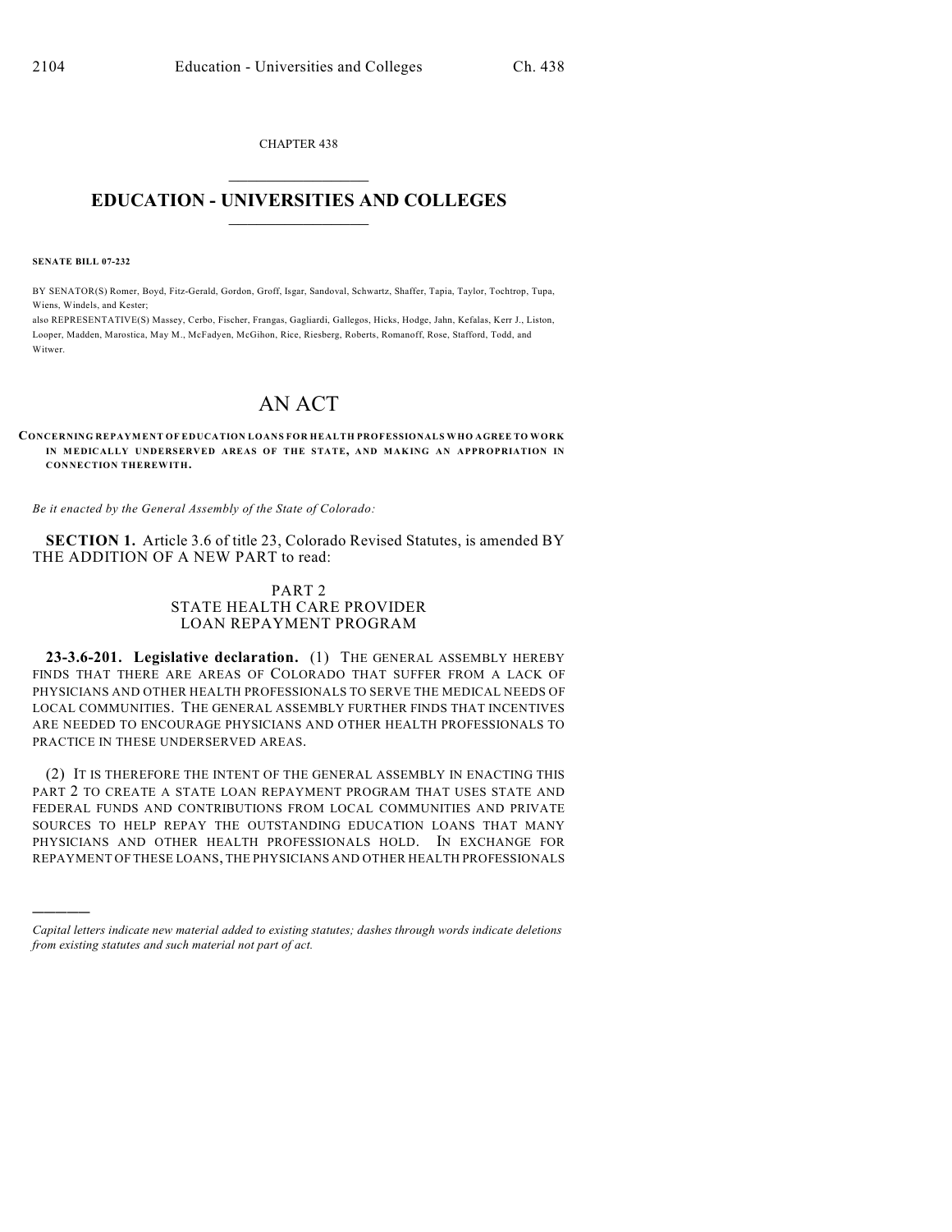CHAPTER 438  $\overline{\phantom{a}}$  . The set of the set of the set of the set of the set of the set of the set of the set of the set of the set of the set of the set of the set of the set of the set of the set of the set of the set of the set o

## **EDUCATION - UNIVERSITIES AND COLLEGES**  $\_$

**SENATE BILL 07-232**

)))))

BY SENATOR(S) Romer, Boyd, Fitz-Gerald, Gordon, Groff, Isgar, Sandoval, Schwartz, Shaffer, Tapia, Taylor, Tochtrop, Tupa, Wiens, Windels, and Kester;

also REPRESENTATIVE(S) Massey, Cerbo, Fischer, Frangas, Gagliardi, Gallegos, Hicks, Hodge, Jahn, Kefalas, Kerr J., Liston, Looper, Madden, Marostica, May M., McFadyen, McGihon, Rice, Riesberg, Roberts, Romanoff, Rose, Stafford, Todd, and Witwer.

## AN ACT

**CONCERNING REPAYMENT OF EDUCATION LOANS FOR HEALTH PROFESSIONALS WHO AGREE TO WORK IN MEDICALLY UNDERSERVED AREAS OF THE STATE, AND MAKING AN APPROPRIATION IN CONNECTION THEREWITH.**

*Be it enacted by the General Assembly of the State of Colorado:*

**SECTION 1.** Article 3.6 of title 23, Colorado Revised Statutes, is amended BY THE ADDITION OF A NEW PART to read:

## PART 2 STATE HEALTH CARE PROVIDER LOAN REPAYMENT PROGRAM

**23-3.6-201. Legislative declaration.** (1) THE GENERAL ASSEMBLY HEREBY FINDS THAT THERE ARE AREAS OF COLORADO THAT SUFFER FROM A LACK OF PHYSICIANS AND OTHER HEALTH PROFESSIONALS TO SERVE THE MEDICAL NEEDS OF LOCAL COMMUNITIES. THE GENERAL ASSEMBLY FURTHER FINDS THAT INCENTIVES ARE NEEDED TO ENCOURAGE PHYSICIANS AND OTHER HEALTH PROFESSIONALS TO PRACTICE IN THESE UNDERSERVED AREAS.

(2) IT IS THEREFORE THE INTENT OF THE GENERAL ASSEMBLY IN ENACTING THIS PART 2 TO CREATE A STATE LOAN REPAYMENT PROGRAM THAT USES STATE AND FEDERAL FUNDS AND CONTRIBUTIONS FROM LOCAL COMMUNITIES AND PRIVATE SOURCES TO HELP REPAY THE OUTSTANDING EDUCATION LOANS THAT MANY PHYSICIANS AND OTHER HEALTH PROFESSIONALS HOLD. IN EXCHANGE FOR REPAYMENT OF THESE LOANS, THE PHYSICIANS AND OTHER HEALTH PROFESSIONALS

*Capital letters indicate new material added to existing statutes; dashes through words indicate deletions from existing statutes and such material not part of act.*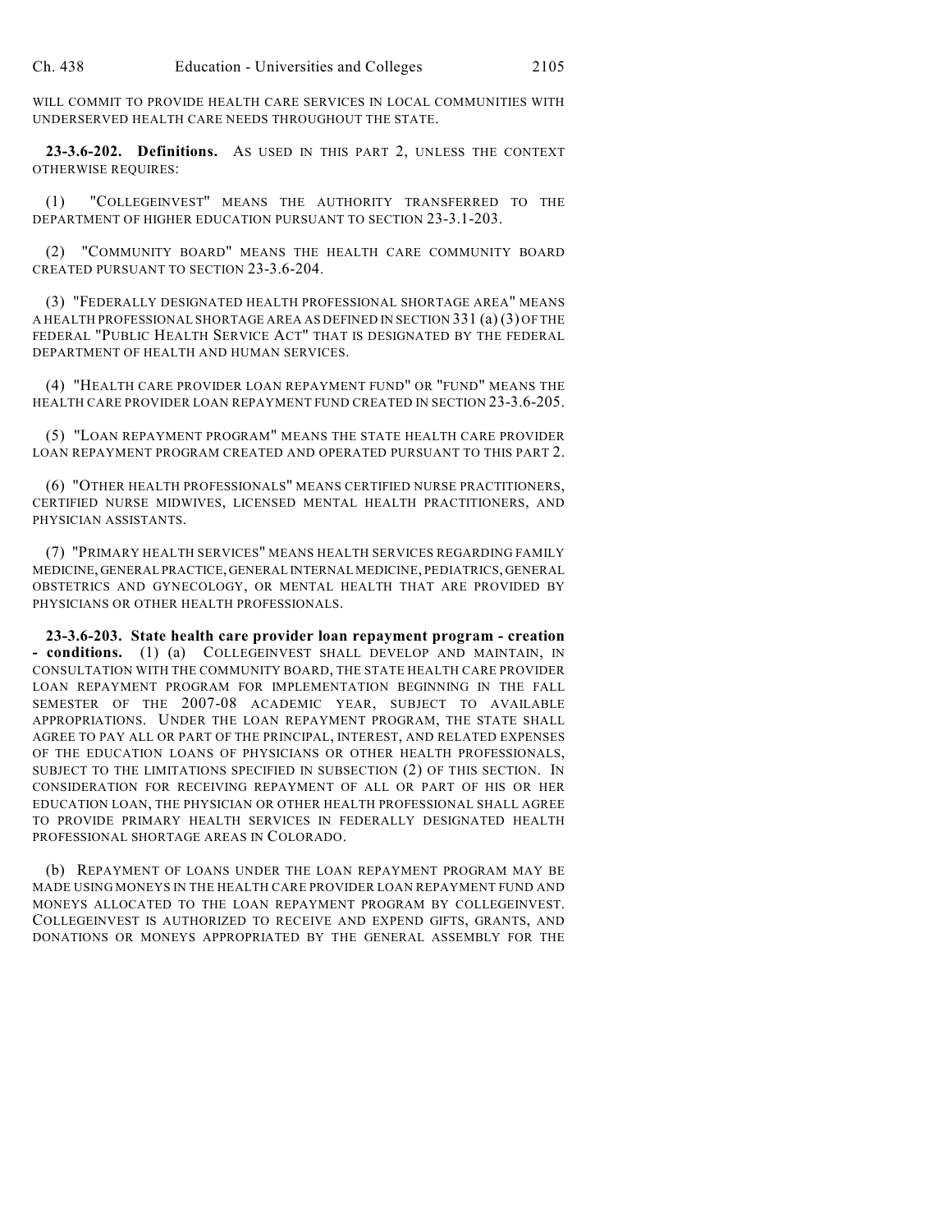WILL COMMIT TO PROVIDE HEALTH CARE SERVICES IN LOCAL COMMUNITIES WITH UNDERSERVED HEALTH CARE NEEDS THROUGHOUT THE STATE.

**23-3.6-202. Definitions.** AS USED IN THIS PART 2, UNLESS THE CONTEXT OTHERWISE REQUIRES:

(1) "COLLEGEINVEST" MEANS THE AUTHORITY TRANSFERRED TO THE DEPARTMENT OF HIGHER EDUCATION PURSUANT TO SECTION 23-3.1-203.

(2) "COMMUNITY BOARD" MEANS THE HEALTH CARE COMMUNITY BOARD CREATED PURSUANT TO SECTION 23-3.6-204.

(3) "FEDERALLY DESIGNATED HEALTH PROFESSIONAL SHORTAGE AREA" MEANS A HEALTH PROFESSIONAL SHORTAGE AREA AS DEFINED IN SECTION 331 (a) (3) OF THE FEDERAL "PUBLIC HEALTH SERVICE ACT" THAT IS DESIGNATED BY THE FEDERAL DEPARTMENT OF HEALTH AND HUMAN SERVICES.

(4) "HEALTH CARE PROVIDER LOAN REPAYMENT FUND" OR "FUND" MEANS THE HEALTH CARE PROVIDER LOAN REPAYMENT FUND CREATED IN SECTION 23-3.6-205.

(5) "LOAN REPAYMENT PROGRAM" MEANS THE STATE HEALTH CARE PROVIDER LOAN REPAYMENT PROGRAM CREATED AND OPERATED PURSUANT TO THIS PART 2.

(6) "OTHER HEALTH PROFESSIONALS" MEANS CERTIFIED NURSE PRACTITIONERS, CERTIFIED NURSE MIDWIVES, LICENSED MENTAL HEALTH PRACTITIONERS, AND PHYSICIAN ASSISTANTS.

(7) "PRIMARY HEALTH SERVICES" MEANS HEALTH SERVICES REGARDING FAMILY MEDICINE, GENERAL PRACTICE, GENERAL INTERNAL MEDICINE, PEDIATRICS, GENERAL OBSTETRICS AND GYNECOLOGY, OR MENTAL HEALTH THAT ARE PROVIDED BY PHYSICIANS OR OTHER HEALTH PROFESSIONALS.

**23-3.6-203. State health care provider loan repayment program - creation - conditions.** (1) (a) COLLEGEINVEST SHALL DEVELOP AND MAINTAIN, IN CONSULTATION WITH THE COMMUNITY BOARD, THE STATE HEALTH CARE PROVIDER LOAN REPAYMENT PROGRAM FOR IMPLEMENTATION BEGINNING IN THE FALL SEMESTER OF THE 2007-08 ACADEMIC YEAR, SUBJECT TO AVAILABLE APPROPRIATIONS. UNDER THE LOAN REPAYMENT PROGRAM, THE STATE SHALL AGREE TO PAY ALL OR PART OF THE PRINCIPAL, INTEREST, AND RELATED EXPENSES OF THE EDUCATION LOANS OF PHYSICIANS OR OTHER HEALTH PROFESSIONALS, SUBJECT TO THE LIMITATIONS SPECIFIED IN SUBSECTION (2) OF THIS SECTION. IN CONSIDERATION FOR RECEIVING REPAYMENT OF ALL OR PART OF HIS OR HER EDUCATION LOAN, THE PHYSICIAN OR OTHER HEALTH PROFESSIONAL SHALL AGREE TO PROVIDE PRIMARY HEALTH SERVICES IN FEDERALLY DESIGNATED HEALTH PROFESSIONAL SHORTAGE AREAS IN COLORADO.

(b) REPAYMENT OF LOANS UNDER THE LOAN REPAYMENT PROGRAM MAY BE MADE USING MONEYS IN THE HEALTH CARE PROVIDER LOAN REPAYMENT FUND AND MONEYS ALLOCATED TO THE LOAN REPAYMENT PROGRAM BY COLLEGEINVEST. COLLEGEINVEST IS AUTHORIZED TO RECEIVE AND EXPEND GIFTS, GRANTS, AND DONATIONS OR MONEYS APPROPRIATED BY THE GENERAL ASSEMBLY FOR THE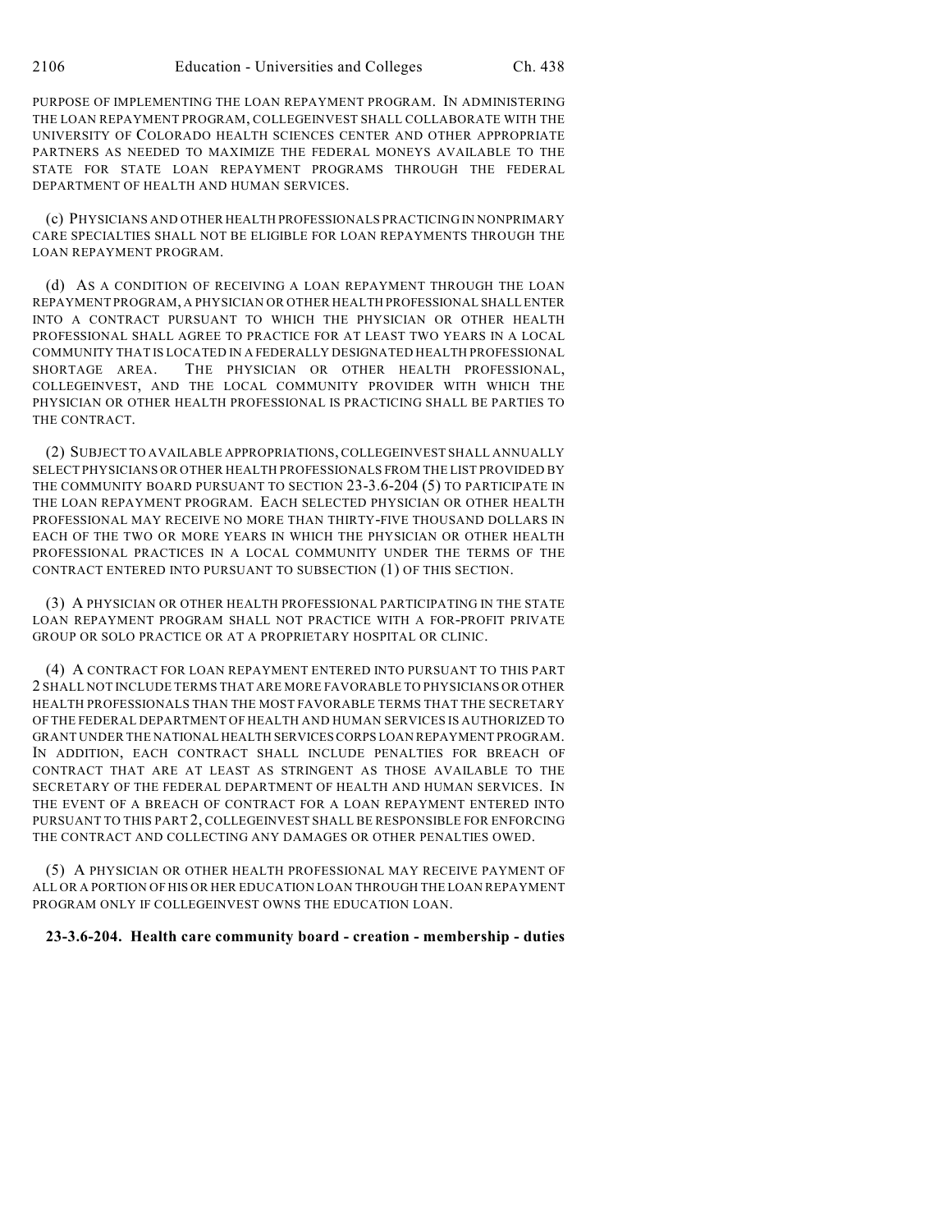PURPOSE OF IMPLEMENTING THE LOAN REPAYMENT PROGRAM. IN ADMINISTERING THE LOAN REPAYMENT PROGRAM, COLLEGEINVEST SHALL COLLABORATE WITH THE UNIVERSITY OF COLORADO HEALTH SCIENCES CENTER AND OTHER APPROPRIATE PARTNERS AS NEEDED TO MAXIMIZE THE FEDERAL MONEYS AVAILABLE TO THE STATE FOR STATE LOAN REPAYMENT PROGRAMS THROUGH THE FEDERAL DEPARTMENT OF HEALTH AND HUMAN SERVICES.

(c) PHYSICIANS AND OTHER HEALTH PROFESSIONALS PRACTICING IN NONPRIMARY CARE SPECIALTIES SHALL NOT BE ELIGIBLE FOR LOAN REPAYMENTS THROUGH THE LOAN REPAYMENT PROGRAM.

(d) AS A CONDITION OF RECEIVING A LOAN REPAYMENT THROUGH THE LOAN REPAYMENT PROGRAM, A PHYSICIAN OR OTHER HEALTH PROFESSIONAL SHALL ENTER INTO A CONTRACT PURSUANT TO WHICH THE PHYSICIAN OR OTHER HEALTH PROFESSIONAL SHALL AGREE TO PRACTICE FOR AT LEAST TWO YEARS IN A LOCAL COMMUNITY THAT IS LOCATED IN A FEDERALLY DESIGNATED HEALTH PROFESSIONAL SHORTAGE AREA. THE PHYSICIAN OR OTHER HEALTH PROFESSIONAL, COLLEGEINVEST, AND THE LOCAL COMMUNITY PROVIDER WITH WHICH THE PHYSICIAN OR OTHER HEALTH PROFESSIONAL IS PRACTICING SHALL BE PARTIES TO THE CONTRACT.

(2) SUBJECT TO AVAILABLE APPROPRIATIONS, COLLEGEINVEST SHALL ANNUALLY SELECT PHYSICIANS OR OTHER HEALTH PROFESSIONALS FROM THE LIST PROVIDED BY THE COMMUNITY BOARD PURSUANT TO SECTION 23-3.6-204 (5) TO PARTICIPATE IN THE LOAN REPAYMENT PROGRAM. EACH SELECTED PHYSICIAN OR OTHER HEALTH PROFESSIONAL MAY RECEIVE NO MORE THAN THIRTY-FIVE THOUSAND DOLLARS IN EACH OF THE TWO OR MORE YEARS IN WHICH THE PHYSICIAN OR OTHER HEALTH PROFESSIONAL PRACTICES IN A LOCAL COMMUNITY UNDER THE TERMS OF THE CONTRACT ENTERED INTO PURSUANT TO SUBSECTION (1) OF THIS SECTION.

(3) A PHYSICIAN OR OTHER HEALTH PROFESSIONAL PARTICIPATING IN THE STATE LOAN REPAYMENT PROGRAM SHALL NOT PRACTICE WITH A FOR-PROFIT PRIVATE GROUP OR SOLO PRACTICE OR AT A PROPRIETARY HOSPITAL OR CLINIC.

(4) A CONTRACT FOR LOAN REPAYMENT ENTERED INTO PURSUANT TO THIS PART 2 SHALL NOT INCLUDE TERMS THAT ARE MORE FAVORABLE TO PHYSICIANS OR OTHER HEALTH PROFESSIONALS THAN THE MOST FAVORABLE TERMS THAT THE SECRETARY OF THE FEDERAL DEPARTMENT OF HEALTH AND HUMAN SERVICES IS AUTHORIZED TO GRANT UNDER THE NATIONAL HEALTH SERVICES CORPS LOAN REPAYMENT PROGRAM. IN ADDITION, EACH CONTRACT SHALL INCLUDE PENALTIES FOR BREACH OF CONTRACT THAT ARE AT LEAST AS STRINGENT AS THOSE AVAILABLE TO THE SECRETARY OF THE FEDERAL DEPARTMENT OF HEALTH AND HUMAN SERVICES. IN THE EVENT OF A BREACH OF CONTRACT FOR A LOAN REPAYMENT ENTERED INTO PURSUANT TO THIS PART 2, COLLEGEINVEST SHALL BE RESPONSIBLE FOR ENFORCING THE CONTRACT AND COLLECTING ANY DAMAGES OR OTHER PENALTIES OWED.

(5) A PHYSICIAN OR OTHER HEALTH PROFESSIONAL MAY RECEIVE PAYMENT OF ALL OR A PORTION OF HIS OR HER EDUCATION LOAN THROUGH THE LOAN REPAYMENT PROGRAM ONLY IF COLLEGEINVEST OWNS THE EDUCATION LOAN.

## **23-3.6-204. Health care community board - creation - membership - duties**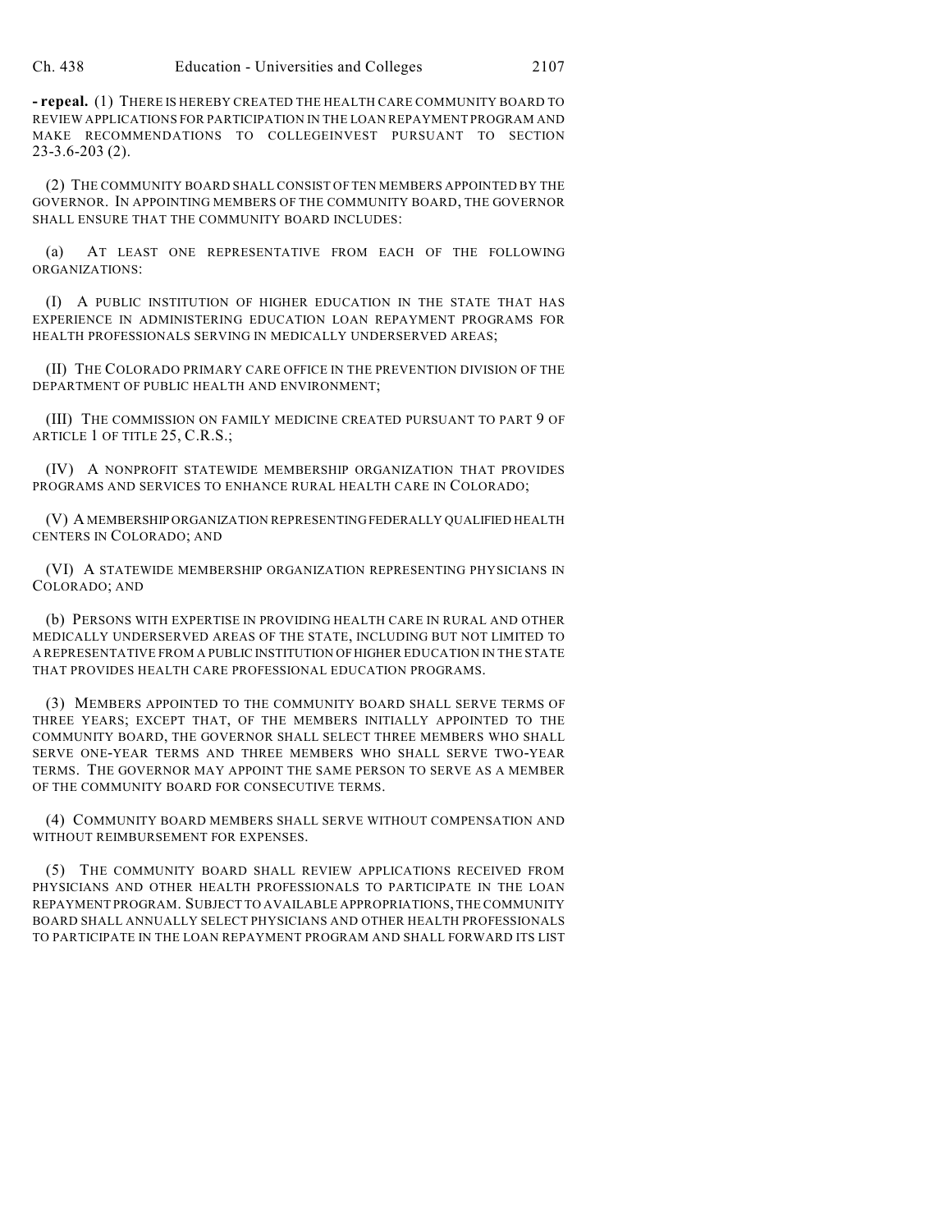**- repeal.** (1) THERE IS HEREBY CREATED THE HEALTH CARE COMMUNITY BOARD TO REVIEW APPLICATIONS FOR PARTICIPATION IN THE LOAN REPAYMENT PROGRAM AND MAKE RECOMMENDATIONS TO COLLEGEINVEST PURSUANT TO SECTION 23-3.6-203 (2).

(2) THE COMMUNITY BOARD SHALL CONSIST OF TEN MEMBERS APPOINTED BY THE GOVERNOR. IN APPOINTING MEMBERS OF THE COMMUNITY BOARD, THE GOVERNOR SHALL ENSURE THAT THE COMMUNITY BOARD INCLUDES:

(a) AT LEAST ONE REPRESENTATIVE FROM EACH OF THE FOLLOWING ORGANIZATIONS:

(I) A PUBLIC INSTITUTION OF HIGHER EDUCATION IN THE STATE THAT HAS EXPERIENCE IN ADMINISTERING EDUCATION LOAN REPAYMENT PROGRAMS FOR HEALTH PROFESSIONALS SERVING IN MEDICALLY UNDERSERVED AREAS;

(II) THE COLORADO PRIMARY CARE OFFICE IN THE PREVENTION DIVISION OF THE DEPARTMENT OF PUBLIC HEALTH AND ENVIRONMENT;

(III) THE COMMISSION ON FAMILY MEDICINE CREATED PURSUANT TO PART 9 OF ARTICLE 1 OF TITLE 25, C.R.S.;

(IV) A NONPROFIT STATEWIDE MEMBERSHIP ORGANIZATION THAT PROVIDES PROGRAMS AND SERVICES TO ENHANCE RURAL HEALTH CARE IN COLORADO;

(V) A MEMBERSHIP ORGANIZATION REPRESENTING FEDERALLY QUALIFIED HEALTH CENTERS IN COLORADO; AND

(VI) A STATEWIDE MEMBERSHIP ORGANIZATION REPRESENTING PHYSICIANS IN COLORADO; AND

(b) PERSONS WITH EXPERTISE IN PROVIDING HEALTH CARE IN RURAL AND OTHER MEDICALLY UNDERSERVED AREAS OF THE STATE, INCLUDING BUT NOT LIMITED TO A REPRESENTATIVE FROM A PUBLIC INSTITUTION OF HIGHER EDUCATION IN THE STATE THAT PROVIDES HEALTH CARE PROFESSIONAL EDUCATION PROGRAMS.

(3) MEMBERS APPOINTED TO THE COMMUNITY BOARD SHALL SERVE TERMS OF THREE YEARS; EXCEPT THAT, OF THE MEMBERS INITIALLY APPOINTED TO THE COMMUNITY BOARD, THE GOVERNOR SHALL SELECT THREE MEMBERS WHO SHALL SERVE ONE-YEAR TERMS AND THREE MEMBERS WHO SHALL SERVE TWO-YEAR TERMS. THE GOVERNOR MAY APPOINT THE SAME PERSON TO SERVE AS A MEMBER OF THE COMMUNITY BOARD FOR CONSECUTIVE TERMS.

(4) COMMUNITY BOARD MEMBERS SHALL SERVE WITHOUT COMPENSATION AND WITHOUT REIMBURSEMENT FOR EXPENSES.

(5) THE COMMUNITY BOARD SHALL REVIEW APPLICATIONS RECEIVED FROM PHYSICIANS AND OTHER HEALTH PROFESSIONALS TO PARTICIPATE IN THE LOAN REPAYMENT PROGRAM. SUBJECT TO AVAILABLE APPROPRIATIONS, THE COMMUNITY BOARD SHALL ANNUALLY SELECT PHYSICIANS AND OTHER HEALTH PROFESSIONALS TO PARTICIPATE IN THE LOAN REPAYMENT PROGRAM AND SHALL FORWARD ITS LIST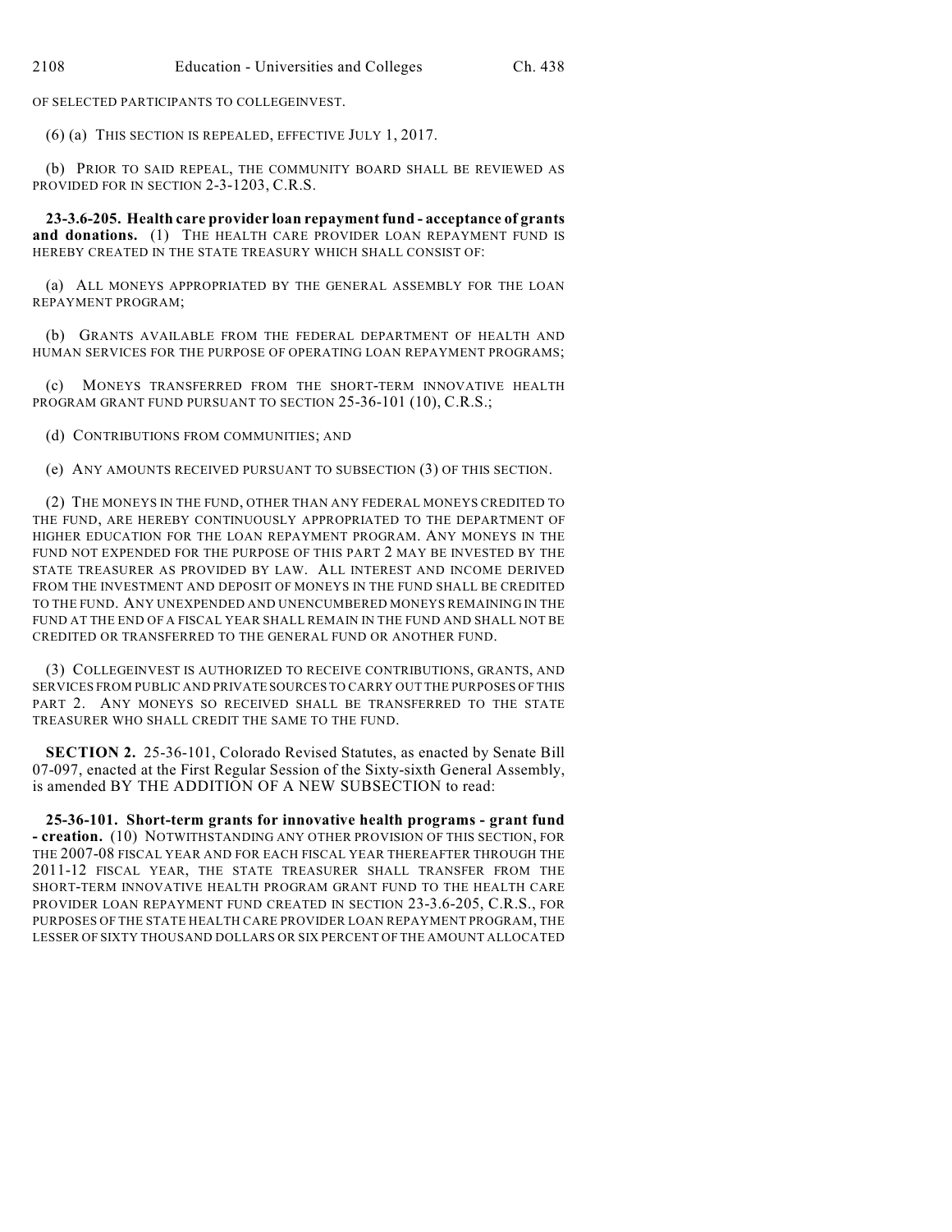OF SELECTED PARTICIPANTS TO COLLEGEINVEST.

(6) (a) THIS SECTION IS REPEALED, EFFECTIVE JULY 1, 2017.

(b) PRIOR TO SAID REPEAL, THE COMMUNITY BOARD SHALL BE REVIEWED AS PROVIDED FOR IN SECTION 2-3-1203, C.R.S.

**23-3.6-205. Health care provider loan repayment fund - acceptance of grants** and donations. (1) THE HEALTH CARE PROVIDER LOAN REPAYMENT FUND IS HEREBY CREATED IN THE STATE TREASURY WHICH SHALL CONSIST OF:

(a) ALL MONEYS APPROPRIATED BY THE GENERAL ASSEMBLY FOR THE LOAN REPAYMENT PROGRAM;

(b) GRANTS AVAILABLE FROM THE FEDERAL DEPARTMENT OF HEALTH AND HUMAN SERVICES FOR THE PURPOSE OF OPERATING LOAN REPAYMENT PROGRAMS;

(c) MONEYS TRANSFERRED FROM THE SHORT-TERM INNOVATIVE HEALTH PROGRAM GRANT FUND PURSUANT TO SECTION 25-36-101 (10), C.R.S.;

(d) CONTRIBUTIONS FROM COMMUNITIES; AND

(e) ANY AMOUNTS RECEIVED PURSUANT TO SUBSECTION (3) OF THIS SECTION.

(2) THE MONEYS IN THE FUND, OTHER THAN ANY FEDERAL MONEYS CREDITED TO THE FUND, ARE HEREBY CONTINUOUSLY APPROPRIATED TO THE DEPARTMENT OF HIGHER EDUCATION FOR THE LOAN REPAYMENT PROGRAM. ANY MONEYS IN THE FUND NOT EXPENDED FOR THE PURPOSE OF THIS PART 2 MAY BE INVESTED BY THE STATE TREASURER AS PROVIDED BY LAW. ALL INTEREST AND INCOME DERIVED FROM THE INVESTMENT AND DEPOSIT OF MONEYS IN THE FUND SHALL BE CREDITED TO THE FUND. ANY UNEXPENDED AND UNENCUMBERED MONEYS REMAINING IN THE FUND AT THE END OF A FISCAL YEAR SHALL REMAIN IN THE FUND AND SHALL NOT BE CREDITED OR TRANSFERRED TO THE GENERAL FUND OR ANOTHER FUND.

(3) COLLEGEINVEST IS AUTHORIZED TO RECEIVE CONTRIBUTIONS, GRANTS, AND SERVICES FROM PUBLIC AND PRIVATE SOURCES TO CARRY OUT THE PURPOSES OF THIS PART 2. ANY MONEYS SO RECEIVED SHALL BE TRANSFERRED TO THE STATE TREASURER WHO SHALL CREDIT THE SAME TO THE FUND.

**SECTION 2.** 25-36-101, Colorado Revised Statutes, as enacted by Senate Bill 07-097, enacted at the First Regular Session of the Sixty-sixth General Assembly, is amended BY THE ADDITION OF A NEW SUBSECTION to read:

**25-36-101. Short-term grants for innovative health programs - grant fund - creation.** (10) NOTWITHSTANDING ANY OTHER PROVISION OF THIS SECTION, FOR THE 2007-08 FISCAL YEAR AND FOR EACH FISCAL YEAR THEREAFTER THROUGH THE 2011-12 FISCAL YEAR, THE STATE TREASURER SHALL TRANSFER FROM THE SHORT-TERM INNOVATIVE HEALTH PROGRAM GRANT FUND TO THE HEALTH CARE PROVIDER LOAN REPAYMENT FUND CREATED IN SECTION 23-3.6-205, C.R.S., FOR PURPOSES OF THE STATE HEALTH CARE PROVIDER LOAN REPAYMENT PROGRAM, THE LESSER OF SIXTY THOUSAND DOLLARS OR SIX PERCENT OF THE AMOUNT ALLOCATED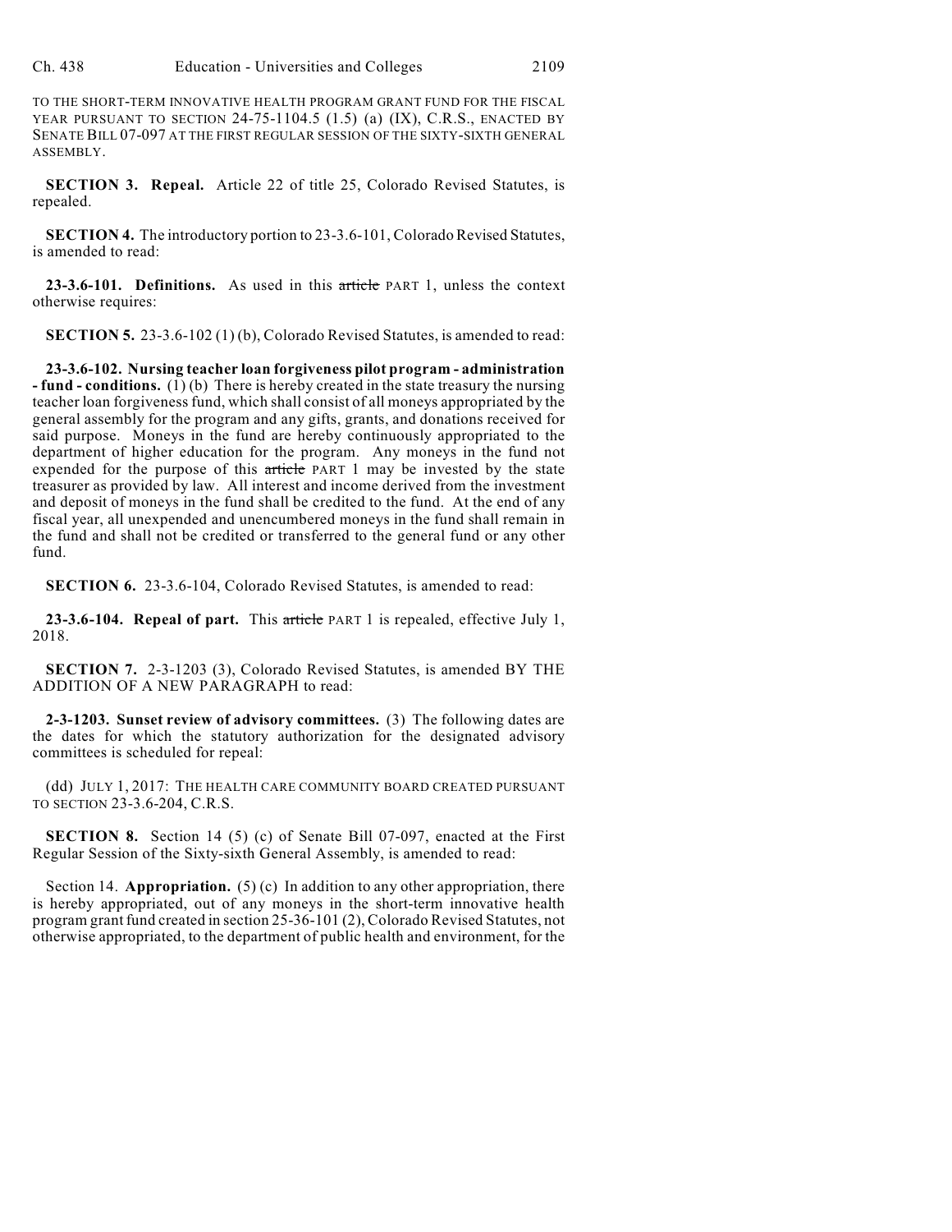TO THE SHORT-TERM INNOVATIVE HEALTH PROGRAM GRANT FUND FOR THE FISCAL YEAR PURSUANT TO SECTION 24-75-1104.5 (1.5) (a) (IX), C.R.S., ENACTED BY SENATE BILL 07-097 AT THE FIRST REGULAR SESSION OF THE SIXTY-SIXTH GENERAL ASSEMBLY.

**SECTION 3. Repeal.** Article 22 of title 25, Colorado Revised Statutes, is repealed.

**SECTION 4.** The introductory portion to 23-3.6-101, Colorado Revised Statutes, is amended to read:

**23-3.6-101. Definitions.** As used in this article PART 1, unless the context otherwise requires:

**SECTION 5.** 23-3.6-102 (1) (b), Colorado Revised Statutes, is amended to read:

**23-3.6-102. Nursing teacher loan forgiveness pilot program - administration - fund - conditions.** (1)(b) There is hereby created in the state treasury the nursing teacher loan forgiveness fund, which shall consist of all moneys appropriated by the general assembly for the program and any gifts, grants, and donations received for said purpose. Moneys in the fund are hereby continuously appropriated to the department of higher education for the program. Any moneys in the fund not expended for the purpose of this article PART 1 may be invested by the state treasurer as provided by law. All interest and income derived from the investment and deposit of moneys in the fund shall be credited to the fund. At the end of any fiscal year, all unexpended and unencumbered moneys in the fund shall remain in the fund and shall not be credited or transferred to the general fund or any other fund.

**SECTION 6.** 23-3.6-104, Colorado Revised Statutes, is amended to read:

**23-3.6-104. Repeal of part.** This article PART 1 is repealed, effective July 1, 2018.

**SECTION 7.** 2-3-1203 (3), Colorado Revised Statutes, is amended BY THE ADDITION OF A NEW PARAGRAPH to read:

**2-3-1203. Sunset review of advisory committees.** (3) The following dates are the dates for which the statutory authorization for the designated advisory committees is scheduled for repeal:

(dd) JULY 1, 2017: THE HEALTH CARE COMMUNITY BOARD CREATED PURSUANT TO SECTION 23-3.6-204, C.R.S.

**SECTION 8.** Section 14 (5) (c) of Senate Bill 07-097, enacted at the First Regular Session of the Sixty-sixth General Assembly, is amended to read:

Section 14. **Appropriation.** (5) (c) In addition to any other appropriation, there is hereby appropriated, out of any moneys in the short-term innovative health program grant fund created in section 25-36-101 (2), Colorado Revised Statutes, not otherwise appropriated, to the department of public health and environment, for the